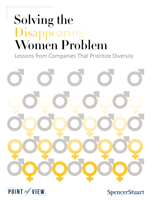# Solving the Disappearing<br>Women Problem

Lessons from Companies That Prioritize Diversity





**SpencerStuart**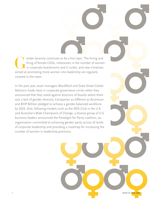ender diversity continues to be a hot topic: The hiring and<br>firing of female CEOs, milestones in the number of women<br>in corporate boardrooms and C-suites, and new initiatives<br>aimed at promoting more women into leadership a firing of female CEOs, milestones in the number of women in corporate boardrooms and C-suites, and new initiatives aimed at promoting more women into leadership are regularly covered in the news.

In the past year, asset managers BlackRock and State Street Global Advisors made news in corporate governance circles when they announced that they voted against directors of boards where there was a lack of gender diversity. Companies as different as Accenture and BHP Billiton pledged to achieve a gender-balanced workforce by 2025. And, following models such as the 30% Club in the U.K. and Australia's Male Champions of Change, a diverse group of U.S. business leaders announced the Paradigm for Parity coalition, an organization committed to achieving gender parity across all levels of corporate leadership and providing a roadmap for increasing the number of women in leadership positions.

POINT OF VIEW 2018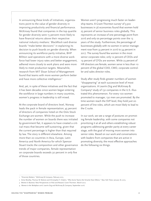In announcing these kinds of initiatives, organizations point to the value of gender diversity in improving productivity and financial performance. McKinsey found that companies in the top quartile for gender diversity were 15 percent more likely to have financial returns above their respective national industry medians.1 BlackRock said diverse boards "make better decisions" in explaining its decision to push boards on gender diversity. When announcing its workforce parity initiative, BHP Billiton said operations with a more diverse workforce had lower injury rates and better engagement, adhered more closely to work plans and were more likely to meet production targets. Meanwhile, research from MIT Sloan School of Management found that teams with more women perform better and have more collective intelligence.<sup>2</sup>

And, yet, in spite of these initiatives and the fact that it has been decades since women began entering the workforce in large numbers in many countries, women's progress in leadership is still mixed.

At the corporate board of directors level, Norway leads the pack in female representation; 45 percent of directors of companies listed on the Oslo Stock Exchange are women. While the push to increase the number of women on boards there was initiated by government fiat, it appears to have created a critical mass that became self-sustaining, given that the current percentage is higher than that required by law. The story is different elsewhere. Among more than 20 countries in Asia, Europe, Latin America and North America for which Spencer Stuart tracks the composition and other governance trends of major companies, female representation on corporate boards exceeds 30 percent in only five of those countries.

Women aren't progressing much faster on leadership teams. A Grant Thornton survey<sup>3</sup> of 5,500 businesses in 36 economies found that women hold 25 percent of senior business roles globally. This represents an increase of one percentage point from 2016 and only six percentage points over the 13 years of the study. Furthermore, the percentage of businesses globally with no women in senior management rose from 33 percent in 2016 to 34 percent in 2017. The survey found few women in the most senior corporate roles; only 12 percent of CEOs and 19 percent of CFOs are women. While 23 percent of HR directors are female, women serve in less than 10 percent of the global COO, CMO, corporate controller and sales director roles.

Study after study finds greater numbers of women "disappearing" at each successive level of most organizations. A LeanIn.Org and McKinsey & Company4 study of 132 companies in the U.S. illustrated this phenomenon. For every 100 women promoted to manager, 130 men are promoted. By the time women reach the SVP level, they hold just 20 percent of line roles, which are most likely to lead to the C-suite.

In our work, we see a range of postures on promoting female leadership, with some companies not prioritizing it at all and others establishing robust programs addressing gender parity at every career stage, with the goal of moving more women into senior roles. Based on our work and conversations with leaders from companies that are active in promoting diversity, the most effective approaches do the following six things.

<sup>1 &</sup>quot;Diversity Matters." McKinsey & Company. February 2015.

<sup>2</sup> Anita Woolley, Thomas W. Malone and Christopher F. Chabris. "Why Some Teams Are Smarter than Others." *New York Times*. January 18, 2015.

<sup>3</sup> *Women in Business:* New Perspectives on Risk and Reward. Grant Thornton. March 2017.

<sup>4</sup> *Women in the Workplace 2016*. LeanIn.Org and McKinsey & Company. September 2016.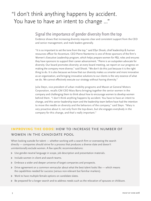# "I don't think anything happens by accident. You have to have an intent to change ..."

#### Signal the importance of gender diversity from the top

Evidence shows that increasing diversity requires clear and consistent support from the CEO and senior management, and male leaders generally.

"It is so important to set the tone from the top," said Ellyn Shook, chief leadership & human resources officer for Accenture. CEO Pierre Nanterme is one of three sponsors of the firm's Women's Executive Leadership program, which helps prepare women for P&L roles and ensures they have sponsors to support their career advancement. "Pierre is an outspoken advocate for diversity. Our board promotes diversity; at every board meeting, we report on our progress on making the company more diverse," said Shook. "We don't do this just because it is the right thing to do. It is also because we know that our diversity makes us smarter and more innovative as an organization, and bringing innovative solutions to our clients is the very essence of what we do. We cannot effectively execute our strategy without having diversity."

Julia Steyn, vice president of urban mobility programs and Maven at General Motors Corporation, recalls GM CEO Mary Barra bringing together the senior women in the company and challenging them to think about how to encourage women to develop women behind them. "I don't think anything happens by accident. You have to have an intent to change, and this senior leadership team and the leadership team before have had the intention to move the needle on diversity and the behaviors of the company," said Steyn. "Mary is very proactive about it, not only from the top-down, but she engages everybody in the company for this change, and that's really important."

#### **Improving the odds:** How to increase the number of women in the candidate pool

When looking outside for talent — whether working with a search firm or overseeing the search directly — companies should strive for a process that produces a diverse slate and doesn't unintentionally exclude women. A few specific recommendations:

- $\geq$  Use gender-neutral language in scope, job description and presentation materials.
- > Include women in client and search teams.
- **Embrace a wider and deeper universe of target companies and prospects.**
- $\triangleright$  Drive agreement on a common vernacular about what the best talent looks like which means the capabilities needed for success (versus non-relevant but familiar markers).
- $\gg$  Work to have multiple female options on candidate slates.
- $\geq$  Be prepared for a longer search and to address needs such as the relocation of spouses or childcare.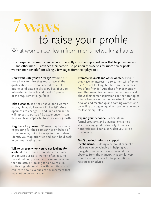# to raise your profile 7 ways

## What women can learn from men's networking habits

In our experience, men often behave differently in some important ways that help themselves — and other men — advance their careers. To position themselves for more senior posts, women may benefit from taking a few pages from their playbook:

**Don't wait until you're "ready."** Women are more likely to think they must have all the qualifications to be considered for a role, but no candidate checks every box. If you're interested in the role and meet 70 percent of the requirements, go for it.

**Take a chance.** It's not unusual for a woman to ask, "How do I know if I'll like it?" More openness to change — and, in particular, the willingness to pursue P&L experience — can help you take steps vital to your career growth.

**Negotiate for yourself.** Women may be great at negotiating for their company or on behalf of someone else, but not always for themselves. Identify your top priorities and don't hold back in communicating them.

#### **Talk to us even when you're not looking for**

**a job.** Men are much more likely to answer and return our calls. Women often assume they should only speak with a recruiter when they are actively looking for a new role. By cultivating relationships with recruiters, you can learn about avenues of advancement that may not be on your radar.

**Promote yourself and other women.** Even if they have no interest in a role, men will often tell us, "I'm not looking, but here are the names of five of my friends." And these friends typically are other men. Women need to be more vocal about their career aspirations so they are top of mind when new opportunities arise. In addition, develop and mentor up-and-coming women and be willing to suggest qualified women you know for leadership roles.

**Expand your network.** Participate in formal programs and organizations aimed at improving gender diversity. Joining a nonprofit board can also widen your circle of contacts.

#### **Don't overlook informal support**

**mechanisms.** Building a personal cabinet of advisers can be valuable in helping you navigate your career or re-engage after an absence from the industry. In a similar vein, don't be afraid to ask for help, additional resources or advice.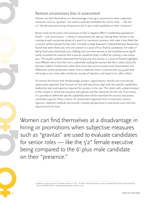#### Remove unconscious bias in assessment

Women can find themselves at a disadvantage in hiring or promotions when subjective measures such as "gravitas" are used to evaluate candidates for senior roles — like the 5'2" female executive being compared to the 6'-plus male candidate on their "presence."

Biases need not be active and conscious to have a negative effect in leadership populations. Small — and unconscious — biases in assessment can add up, leaving fewer women in the running at each successive phase of a search or succession process, and make it less likely that a woman will be selected for key roles. Consider a study featured in *Harvard Business Review* that found that when there was only one woman in a pool of four finalist candidates, her odds of being hired were statistically zero. Adding just one more woman to the candidate pool significantly increased the chances that a woman would be hired, in effect by creating a new status quo.5 The study's authors theorized that having only one woman in a pool of finalists highlights how different she is from the norm, potentially making the woman feel like a riskier choice for decision makers. Furthermore, when that minor bias occurs at every level of promotion, the differences at the top become clearer. Even a relatively minor 10 percent bias (55-45 percent) will create a 3-to-2 bias after merely two rounds of selection, and nearly 2-to-1 after a third.

To remove the biases that disadvantage women, organizations should use a structured assessment approach that focuses on how well executives align with the specific capabilities, leadership style and expertise required for success in the role. This starts with a determination of the context in which the executive will operate and the objectives for the role. From there, it is possible to define the specific capabilities that will be important for success and assess candidates against those criteria. An assessment approach that incorporates several rigorous, objective methods will provide multiple perspectives on executives and minimize opportunities for bias.

Women can find themselves at a disadvantage in hiring or promotions when subjective measures such as "gravitas" are used to evaluate candidates for senior roles  $-$  like the  $5'2''$  female executive being compared to the 6'-plus male candidate on their "presence."

> 5 Stefanie K. Johnson, David R. Hekman and Elsa T. Chan. "If There's Only One Woman in Your Candidate Pool, There's Statistically No Chance She'll Be Hired." *Harvard Business Review*. April 26, 2016.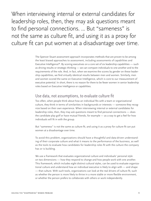When interviewing internal or external candidates for leadership roles, then, they may ask questions meant to find personal connections. ... But "sameness" is not the same as culture fit, and using it as a proxy for culture fit can put women at a disadvantage over time.

> The Spencer Stuart assessment approach incorporates methods that are proven to be among the least biased approaches to assessment, including assessments of capabilities and Executive Intelligence®. By scoring executives on a core set of six leadership capabilities — such as driving results or strategic thinking — we can compare individuals to one another and to the requirements of the role. And, in fact, when we examine the scores by gender on these leadership capabilities, we find virtually identical results between men and women. Similarly, men and women scored the same on Executive Intelligence, which is core to our measurement of executive potential. In short, there is no reason for there to be fewer women in senior leadership roles based on Executive Intelligence or capabilities.

#### Use data, not assumptions, to evaluate culture fit

Too often, when people think about how an individual fits with a team or organizational culture, they think in terms of similarities in backgrounds or interests — someone they recognize based on their own experience. When interviewing internal or external candidates for leadership roles, then, they may ask questions meant to find personal connections — does the candidate play golf or have mutual friends, for example — as a way to get a feel for how individuals will fit in with the group.

But "sameness" is not the same as culture fit, and using it as a proxy for culture fit can put women at a disadvantage over time.

To avoid this problem, organizations should have a thoughtful and data-driven understanding of their corporate culture and what it means to the performance of the business, as well as the tools to evaluate how candidates for leadership roles fit with the culture the company has or is building.

We use a framework that evaluates organizational culture and individuals' personal style on two dimensions — how they respond to change and how people work with one another. This framework, which includes eight distinct cultural styles, can be used to evaluate organizational culture and understand how an individual executive is likely to align with — and shape — that culture. With such tools, organizations can look at the real drivers of culture fit, such as whether the person is more likely to thrive in a more stable or more flexible environment, or whether the person prefers to collaborate with others or work independently.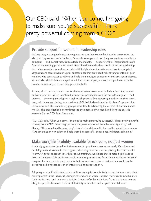## "Our CEO said, 'When you come, I'm going to make sure you're successful.' That's pretty powerful coming from a CEO."

#### Provide support for women in leadership roles

Making progress on gender equality requires not just that women be placed in senior roles, but also that they are successful in them. Especially for organizations hiring women from outside the company — and, sometimes, from outside the industry — supporting their integration through focused onboarding plans is essential. Newly hired female leaders should be encouraged to tap into influence networks and be provided with insight about the culture and how to navigate it. Organizations can set women up for success once they are hired by identifying mentors or peer mentors who can answer questions and help them navigate company- or industry-specific issues. Women also should be encouraged to build an intra-company network and get involved in the broader community to ensure they gain a foothold.

At Lear, all of the candidate slates for the most senior roles must include at least two women and/or minorities. When Lear hired six new vice presidents from the outside last year — half women — the company adopted a high-touch process for supporting new hires in their transition, said Jeneanne Hanley, vice president of Global Surface Materials for Lear Corp. and chair of AutomotiveNEXT, an industry group committed to advancing the careers of women in automotive. The organization's commitment to the success of women hired from the outside started with the CEO, Matt Simoncini.

"Our CEO said, 'When you come, I'm going to make sure you're successful.' That's pretty powerful coming from a CEO. When they got here, they were supported from the very beginning," said Hanley. "They were hired because they're talented, and it's a reflection on the rest of the company if we can't take on new talent and help them be successful. So it's a really different take on it."

#### Make work/life flexibility available for everyone, not just women

Ironically, good-intentioned initiatives meant to provide women more work/life balance and flexibility can hurt women in the long run, when they have the effect of placing them outside the "norm." A better approach is to think about creating a workplace that is more flexible about how and where work is performed — for everybody. Accenture, for instance, made an "in-town" program for new parents mandatory for both women and men so that women would not be perceived as being less career-oriented by taking advantage of it.

Adopting a more flexible mindset about how work gets done is likely to become more important for employers in the future, as younger generations of workers expect more freedom to balance their professional and personal priorities. Surveys of millennials have found that they are more likely to quit jobs because of a lack of flexibility or benefits such as paid parental leave.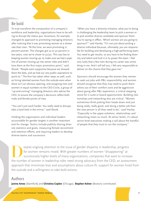#### Be bold

To truly transform the composition of a company's workforce and leadership, organizations have to be willing to disrupt the status quo. Accenture, for example, changed its approach to promoting managing directors after noticing that it was promoting women at a slower rate than men. "At the time, we were promoting 21 percent women. The changes got us to 30 percent in two years, now we're closer to 50/50. This was key to keeping women moving up, to make sure we had a pipeline of women moving up into senior roles and didn't lose them at the first major promotion point," said Shook. "People were supportive because we showed them the data, and we had our very public aspirations to point to." The firm has taken other steps as well, such as hiring talented women from the outside even when there isn't an obvious opening, and assigning men and women in equal numbers to the CEO Circle, a group of "up-and-coming" managing directors who advise the CEO, to ensure the company's decisions reflect both male and female points of view.

"You can't just work harder. You really need to disrupt, take a hard look in the mirror," said Shook.

Holding the organization and individual leaders accountable for gender targets is another important tool for change. Tactics include publicly sharing diversity statistics and goals, measuring female recruitment and retention efforts, and requiring leaders to develop diverse teams and successors.

"When you have a diversity initiative, what you're doing is challenging the leadership team to pick a woman or to pick another diverse candidate and sponsor them. You're saying in effect, 'Which woman are you going to sponsor?'" said Hanley. "It's not just about picking a diverse individual because, ultimately, you are responsible for building and developing a high-performing team. You need to get results, so you have to be finding diversity and talent and lock it in to power the team. I feel very lucky that a few men during my career saw something in me. And I will tell you, I felt very responsible to deliver on the chance that they gave me."

Sponsors should encourage the women they mentor to seek out jobs with P&L responsibility, and women should recognize that they may need to push themselves out of their comfort zone and be aggressive about going after P&L experience, a critical stepping stone for C-suite or board opportunities. Building relationships and networking also are critical. "Women sometimes think putting their heads down and just being really, really good, and doing a better job than the next person is all they need to do," said Hanley. "Especially in the upper echelons, relationships and networking mean so much. At senior levels, it's about senior-level executives making a call about the handful of people that they trust to run the company."

EV espite ongoing attention to the issue of gender disparity in leadership, progress<br>for women remains mixed. With greater numbers of women "disappearing" at<br>successively higher levels of many organizations, companies that for women remains mixed. With greater numbers of women "disappearing" at successively higher levels of many organizations, companies that want to increase the number of women in leadership roles need strong advocacy from the CEO, an assessment approach that minimizes bias and assumptions about culture fit, support for women hired from the outside and a willingness to take bold actions.

#### Authors

**Janine Ames** (Stamford) and **Christina Coplen** (Chicago). **Stephen Kelner** (Boston) contributed.